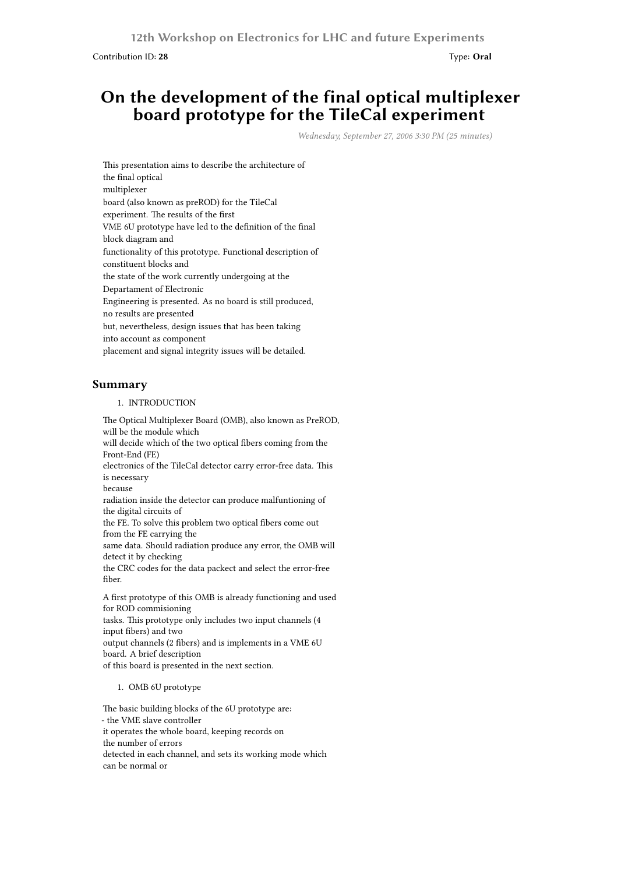Contribution ID: **28** Type: **Oral**

## **On the development of the final optical multiplexer board prototype for the TileCal experiment**

*Wednesday, September 27, 2006 3:30 PM (25 minutes)*

This presentation aims to describe the architecture of the final optical multiplexer board (also known as preROD) for the TileCal experiment. The results of the first VME 6U prototype have led to the definition of the final block diagram and functionality of this prototype. Functional description of constituent blocks and the state of the work currently undergoing at the Departament of Electronic Engineering is presented. As no board is still produced, no results are presented but, nevertheless, design issues that has been taking into account as component placement and signal integrity issues will be detailed.

## **Summary**

1. INTRODUCTION

The Optical Multiplexer Board (OMB), also known as PreROD, will be the module which will decide which of the two optical fibers coming from the Front-End (FE) electronics of the TileCal detector carry error-free data. This is necessary because radiation inside the detector can produce malfuntioning of the digital circuits of the FE. To solve this problem two optical fibers come out from the FE carrying the same data. Should radiation produce any error, the OMB will detect it by checking the CRC codes for the data packect and select the error-free fiber. A first prototype of this OMB is already functioning and used for ROD commisioning

tasks. This prototype only includes two input channels (4 input fibers) and two output channels (2 fibers) and is implements in a VME 6U board. A brief description

of this board is presented in the next section.

## 1. OMB 6U prototype

The basic building blocks of the 6U prototype are: - the VME slave controller it operates the whole board, keeping records on the number of errors detected in each channel, and sets its working mode which can be normal or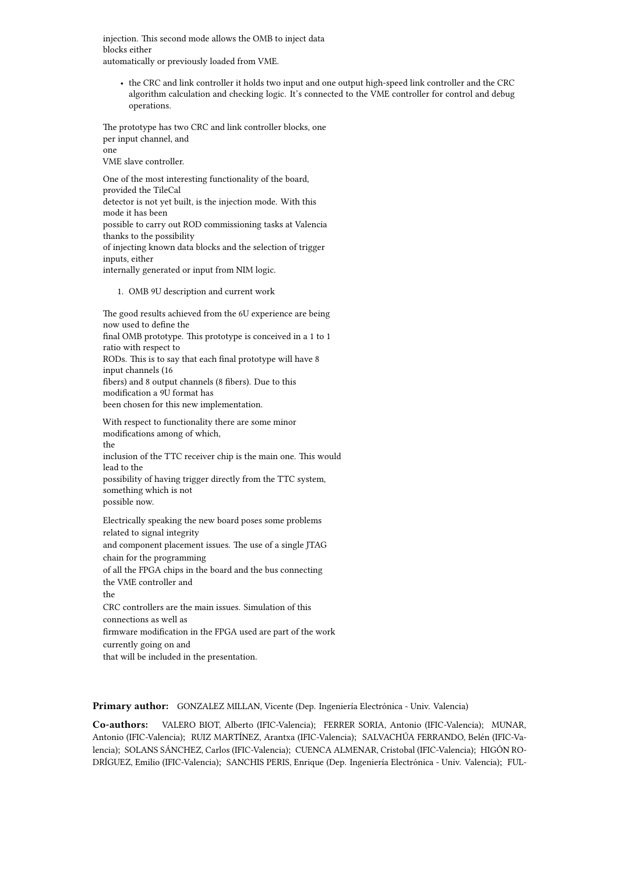injection. This second mode allows the OMB to inject data blocks either automatically or previously loaded from VME.

• the CRC and link controller it holds two input and one output high-speed link controller and the CRC algorithm calculation and checking logic. It's connected to the VME controller for control and debug operations.

The prototype has two CRC and link controller blocks, one per input channel, and one VME slave controller.

One of the most interesting functionality of the board, provided the TileCal detector is not yet built, is the injection mode. With this mode it has been possible to carry out ROD commissioning tasks at Valencia thanks to the possibility of injecting known data blocks and the selection of trigger inputs, either internally generated or input from NIM logic.

1. OMB 9U description and current work

The good results achieved from the 6U experience are being now used to define the final OMB prototype. This prototype is conceived in a 1 to 1 ratio with respect to RODs. This is to say that each final prototype will have 8 input channels (16 fibers) and 8 output channels (8 fibers). Due to this modification a 9U format has been chosen for this new implementation.

With respect to functionality there are some minor modifications among of which, the inclusion of the TTC receiver chip is the main one. This would lead to the possibility of having trigger directly from the TTC system, something which is not possible now.

Electrically speaking the new board poses some problems related to signal integrity and component placement issues. The use of a single JTAG chain for the programming of all the FPGA chips in the board and the bus connecting the VME controller and the CRC controllers are the main issues. Simulation of this connections as well as firmware modification in the FPGA used are part of the work currently going on and

that will be included in the presentation.

**Primary author:** GONZALEZ MILLAN, Vicente (Dep. Ingeniería Electrónica - Univ. Valencia)

**Co-authors:** VALERO BIOT, Alberto (IFIC-Valencia); FERRER SORIA, Antonio (IFIC-Valencia); MUNAR, Antonio (IFIC-Valencia); RUIZ MARTÍNEZ, Arantxa (IFIC-Valencia); SALVACHÚA FERRANDO, Belén (IFIC-Valencia); SOLANS SÁNCHEZ, Carlos (IFIC-Valencia); CUENCA ALMENAR, Cristobal (IFIC-Valencia); HIGÓN RO-DRÍGUEZ, Emilio (IFIC-Valencia); SANCHIS PERIS, Enrique (Dep. Ingeniería Electrónica - Univ. Valencia); FUL-